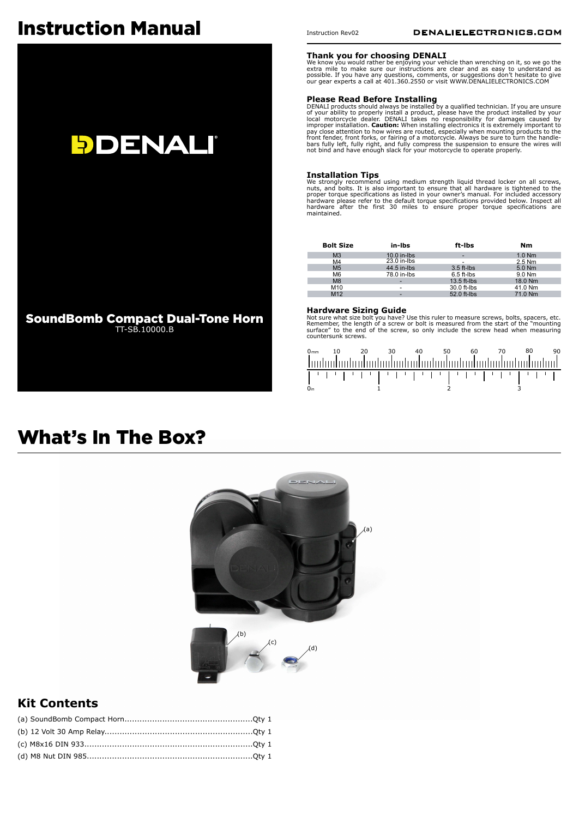## Instruction Manual



Instruction Rev02

#### **Thank you for choosing DENALI**

We know you would rather be enjoying your vehicle than wrenching on it, so we go the extra mile to make sure our instructions are clear and as easy to understand as possible. If you have any questions, comments, or suggestions don't hesitate to give our gear experts a call at 401.360.2550 or visit WWW.DENALIELECTRONICS.COM

**Please Read Before Installing**<br>DENALI products should always be installed by a qualified technician. If you are unsure<br>of your ability to properly install a product, please have the product installed by your<br>local motorcy pay close attention to how wires are routed, especially when mounting products to the<br>front fender, front forks, or fairing of a motorcycle. Always be sure to turn the handle-<br>bars fully left, fully right, and fully compre

**Installation Tips**<br>we strongly recommend using medium strength liquid thread locker on all screws,<br>wuts, and bolts. It is also important to ensure that all hardware is tightened to the<br>proper torque specifications as list

| <b>Bolt Size</b> | in-Ibs        | ft-lbs                   | Nm       |
|------------------|---------------|--------------------------|----------|
| M <sub>3</sub>   | $10.0$ in-lbs | $\overline{\phantom{0}}$ | $1.0$ Nm |
| M4               | 23.0 in-lbs   | $\overline{\phantom{0}}$ | $2.5$ Nm |
| M <sub>5</sub>   | 44.5 in-lbs   | $3.5$ ft-lbs             | $5.0$ Nm |
| M <sub>6</sub>   | 78.0 in-lbs   | $6.5$ ft-lbs             | 9.0 Nm   |
| M <sub>8</sub>   | -             | $13.5$ ft-lbs            | 18.0 Nm  |
| M10              | -             | 30.0 ft-lbs              | 41.0 Nm  |
| M12              |               | 52.0 ft-lbs              | 71.0 Nm  |

#### **Hardware Sizing Guide**

Not sure what size bolt you have? Use this ruler to measure screws, bolts, spacers, etc.<br>Remember, the length of a screw or bolt is measured from the start of the "mounting<br>surface" to the end of the screw, so only include surface" to the end<br>countersunk screws.



## What's In The Box?



### **Kit Contents**